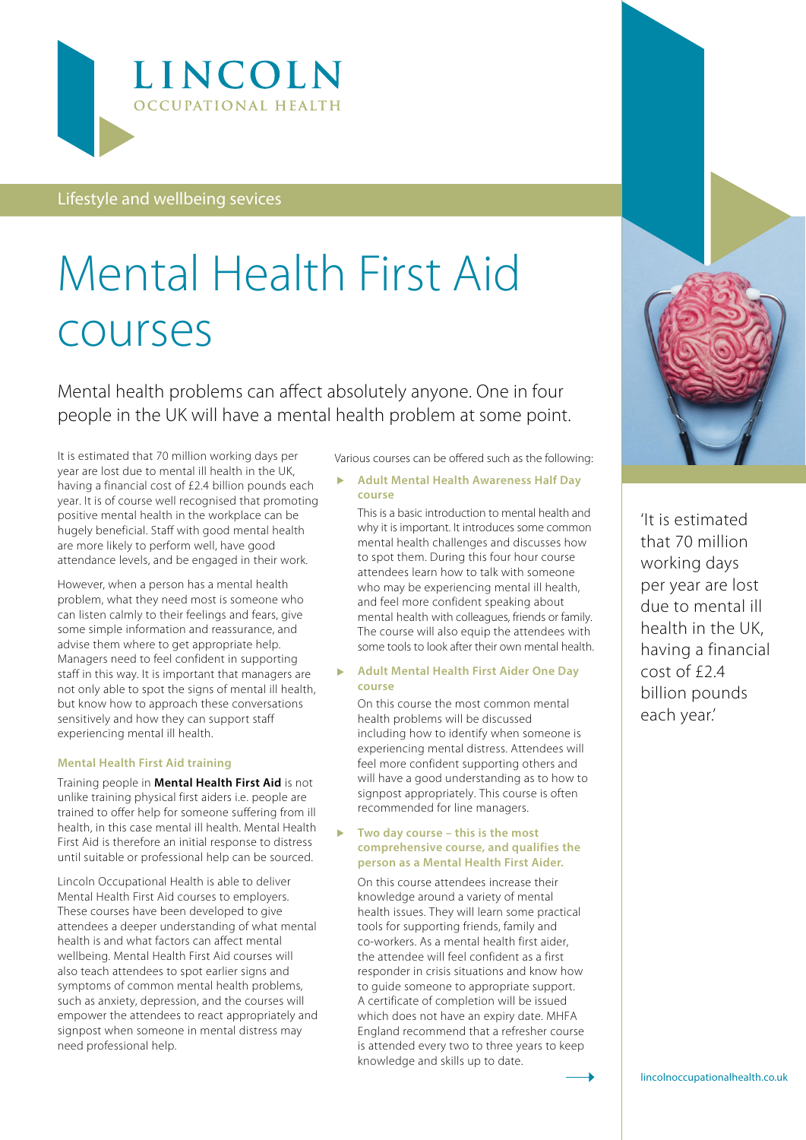

Lifestyle and wellbeing sevices

# Mental Health First Aid courses

[Mental health problem](https://www.mind.org.uk/information-support/types-of-mental-health-problems/mental-health-problems-introduction/#.XNGtvOVKjIV?ctaId=/get-involved/mental-health-awareness-week-2019/slices/what-are-mental-health-problems-video/)s can affect absolutely anyone. One in four people in the UK will have a mental health problem at some point.

It is estimated that 70 million working days per year are lost due to mental ill health in the UK, having a financial cost of £2.4 billion pounds each year. It is of course well recognised that promoting positive mental health in the workplace can be hugely beneficial. Staff with good mental health are more likely to perform well, have good attendance levels, and be engaged in their work.

However, when a person has a mental health problem, what they need most is someone who can listen calmly to their feelings and fears, give some simple information and reassurance, and advise them where to get appropriate help. Managers need to feel confident in supporting staff in this way. It is important that managers are not only able to spot the signs of mental ill health, but know how to approach these conversations sensitively and how they can support staff experiencing mental ill health.

#### **Mental Health First Aid training**

Training people in **Mental Health First Aid** is not unlike training physical first aiders i.e. people are trained to offer help for someone suffering from ill health, in this case mental ill health. Mental Health First Aid is therefore an initial response to distress until suitable or professional help can be sourced.

Lincoln Occupational Health is able to deliver Mental Health First Aid courses to employers. These courses have been developed to give attendees a deeper understanding of what mental health is and what factors can affect mental wellbeing. Mental Health First Aid courses will also teach attendees to spot earlier signs and symptoms of common mental health problems, such as anxiety, depression, and the courses will empower the attendees to react appropriately and signpost when someone in mental distress may need professional help.

Various courses can be offered such as the following:

 **Adult Mental Health Awareness Half Day course** 

This is a basic introduction to mental health and why it is important. It introduces some common mental health challenges and discusses how to spot them. During this four hour course attendees learn how to talk with someone who may be experiencing mental ill health, and feel more confident speaking about mental health with colleagues, friends or family. The course will also equip the attendees with some tools to look after their own mental health.

 **Adult Mental Health First Aider One Day course** 

On this course the most common mental health problems will be discussed including how to identify when someone is experiencing mental distress. Attendees will feel more confident supporting others and will have a good understanding as to how to signpost appropriately. This course is often recommended for line managers.

#### **Two day course – this is the most comprehensive course, and qualifies the person as a Mental Health First Aider.**

On this course attendees increase their knowledge around a variety of mental health issues. They will learn some practical tools for supporting friends, family and co-workers. As a mental health first aider, the attendee will feel confident as a first responder in crisis situations and know how to guide someone to appropriate support. A certificate of completion will be issued which does not have an expiry date. MHFA England recommend that a refresher course is attended every two to three years to keep knowledge and skills up to date.



'It is estimated that 70 million working days per year are lost due to mental ill health in the UK, having a financial cost of £2.4 billion pounds each year.'